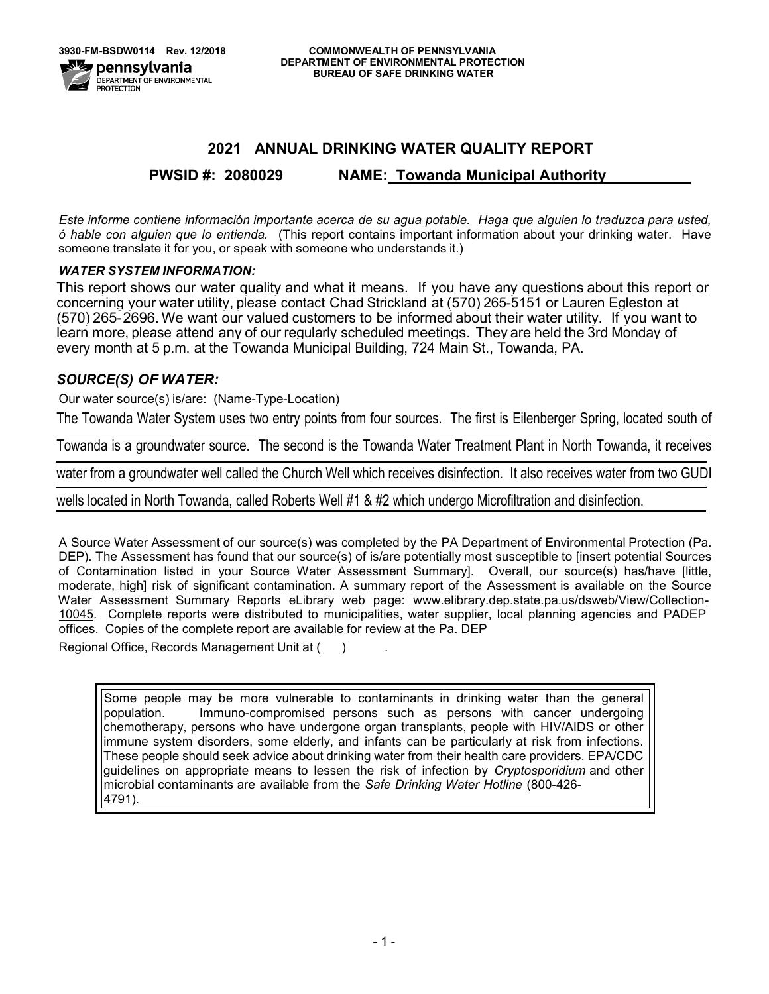# **2021 ANNUAL DRINKING WATER QUALITY REPORT**

# **PWSID #: 2080029 NAME: Towanda Municipal Authority**

*Este informe contiene información importante acerca de su agua potable. Haga que alguien lo traduzca para usted, ó hable con alguien que lo entienda.* (This report contains important information about your drinking water. Have someone translate it for you, or speak with someone who understands it.)

# *WATER SYSTEM INFORMATION:*

This report shows our water quality and what it means. If you have any questions about this report or concerning your water utility, please contact Chad Strickland at (570) 265-5151 or Lauren Egleston at (570) 265-2696. We want our valued customers to be informed about their water utility. If you want to learn more, please attend any of our regularly scheduled meetings. They are held the 3rd Monday of every month at 5 p.m. at the Towanda Municipal Building, 724 Main St., Towanda, PA.

# *SOURCE(S) OF WATER:*

Our water source(s) is/are: (Name-Type-Location)

The Towanda Water System uses two entry points from four sources. The first is Eilenberger Spring, located south of

Towanda is a groundwater source. The second is the Towanda Water Treatment Plant in North Towanda, it receives

water from a groundwater well called the Church Well which receives disinfection. It also receives water from two GUDI

wells located in North Towanda, called Roberts Well #1 & #2 which undergo Microfiltration and disinfection.

A Source Water Assessment of our source(s) was completed by the PA Department of Environmental Protection (Pa. DEP). The Assessment has found that our source(s) of is/are potentially most susceptible to [insert potential Sources of Contamination listed in your Source Water Assessment Summary]. Overall, our source(s) has/have [little, moderate, high] risk of significant contamination. A summary report of the Assessment is available on the Source Water Assessment Summary Reports eLibrary web page: [www.elibrary.dep.state.pa.us/dsweb/View/Collection-](http://www.elibrary.dep.state.pa.us/dsweb/View/Collection-10045)[10045. Com](http://www.elibrary.dep.state.pa.us/dsweb/View/Collection-10045)plete reports were distributed to municipalities, water supplier, local planning agencies and PADEP offices. Copies of the complete report are available for review at the Pa. DEP

Regional Office, Records Management Unit at ()

Some people may be more vulnerable to contaminants in drinking water than the general population. Immuno-compromised persons such as persons with cancer undergoing chemotherapy, persons who have undergone organ transplants, people with HIV/AIDS or other immune system disorders, some elderly, and infants can be particularly at risk from infections. These people should seek advice about drinking water from their health care providers. EPA/CDC guidelines on appropriate means to lessen the risk of infection by *Cryptosporidium* and other microbial contaminants are available from the *Safe Drinking Water Hotline* (800-426- 4791).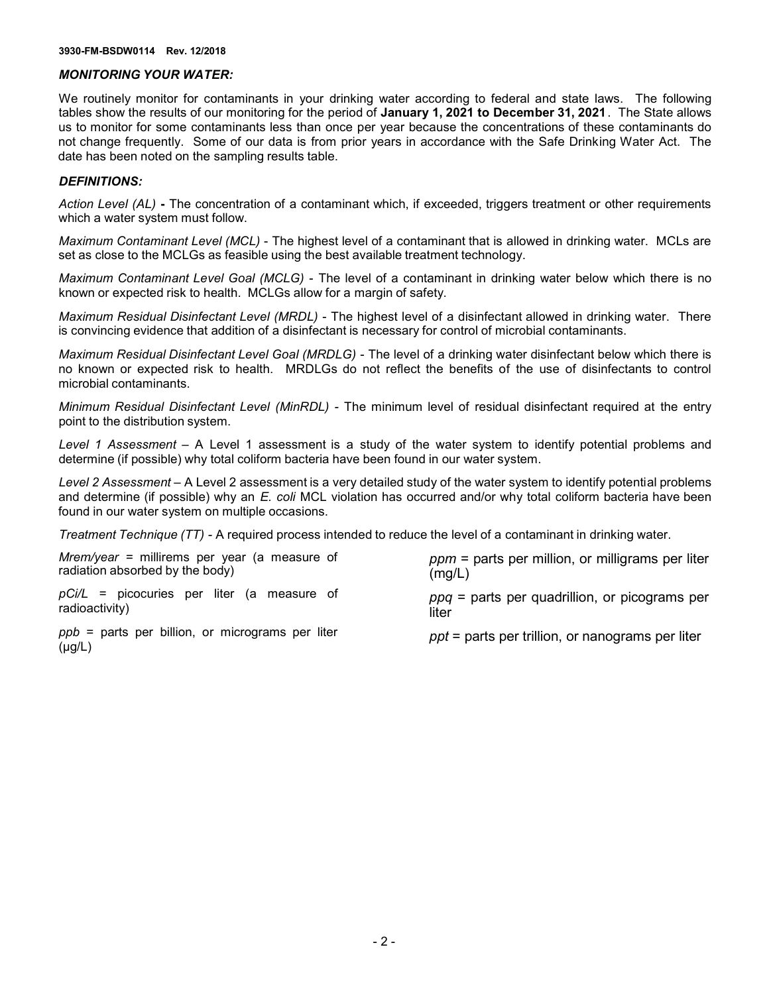#### *MONITORING YOUR WATER:*

We routinely monitor for contaminants in your drinking water according to federal and state laws. The following tables show the results of our monitoring for the period of **January 1, 2021 to December 31, 2021**. The State allows us to monitor for some contaminants less than once per year because the concentrations of these contaminants do not change frequently. Some of our data is from prior years in accordance with the Safe Drinking Water Act. The date has been noted on the sampling results table.

#### *DEFINITIONS:*

*Action Level (AL)* **-** The concentration of a contaminant which, if exceeded, triggers treatment or other requirements which a water system must follow.

*Maximum Contaminant Level (MCL)* - The highest level of a contaminant that is allowed in drinking water. MCLs are set as close to the MCLGs as feasible using the best available treatment technology.

*Maximum Contaminant Level Goal (MCLG)* - The level of a contaminant in drinking water below which there is no known or expected risk to health. MCLGs allow for a margin of safety.

*Maximum Residual Disinfectant Level (MRDL)* - The highest level of a disinfectant allowed in drinking water. There is convincing evidence that addition of a disinfectant is necessary for control of microbial contaminants.

*Maximum Residual Disinfectant Level Goal (MRDLG)* - The level of a drinking water disinfectant below which there is no known or expected risk to health. MRDLGs do not reflect the benefits of the use of disinfectants to control microbial contaminants.

*Minimum Residual Disinfectant Level (MinRDL) -* The minimum level of residual disinfectant required at the entry point to the distribution system.

*Level 1 Assessment –* A Level 1 assessment is a study of the water system to identify potential problems and determine (if possible) why total coliform bacteria have been found in our water system.

*Level 2 Assessment –* A Level 2 assessment is a very detailed study of the water system to identify potential problems and determine (if possible) why an *E. coli* MCL violation has occurred and/or why total coliform bacteria have been found in our water system on multiple occasions.

*Treatment Technique (TT) -* A required process intended to reduce the level of a contaminant in drinking water.

| <i>Mrem/year</i> = millirems per year (a measure of | $ppm$ = parts per million, or milligrams per liter |
|-----------------------------------------------------|----------------------------------------------------|
| radiation absorbed by the body)                     | (mg/L)                                             |
| <i>pCi/L</i> = picocuries per liter (a measure of   | $ppq$ = parts per quadrillion, or picograms per    |
| radioactivity) l                                    | liter                                              |

radioactivity)

*ppb* = parts per billion, or micrograms per liter (μg/L)

*ppt* = parts per trillion, or nanograms per liter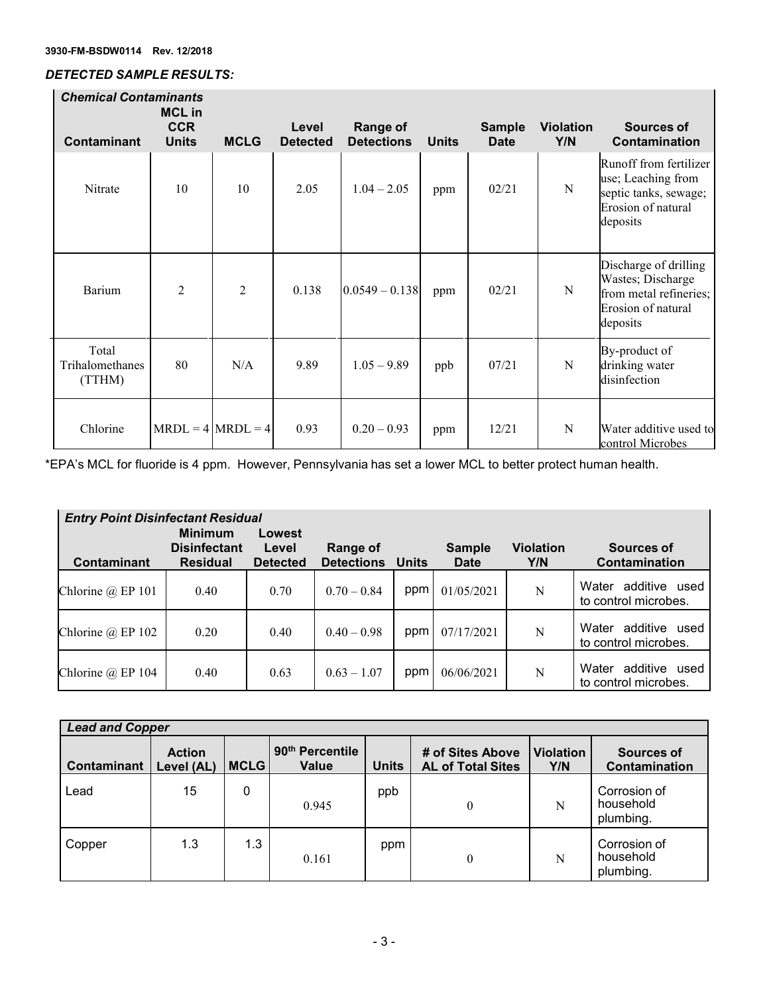# *DETECTED SAMPLE RESULTS:*

|                                    | <b>Chemical Contaminants</b><br><b>MCL</b> in |                       |                          |                               |              |                              |                         |                                                                                                         |  |  |
|------------------------------------|-----------------------------------------------|-----------------------|--------------------------|-------------------------------|--------------|------------------------------|-------------------------|---------------------------------------------------------------------------------------------------------|--|--|
| <b>Contaminant</b>                 | <b>CCR</b><br><b>Units</b>                    | <b>MCLG</b>           | Level<br><b>Detected</b> | Range of<br><b>Detections</b> | <b>Units</b> | <b>Sample</b><br><b>Date</b> | <b>Violation</b><br>Y/N | Sources of<br>Contamination                                                                             |  |  |
| Nitrate                            | 10                                            | 10                    | 2.05                     | $1.04 - 2.05$                 | ppm          | 02/21                        | N                       | Runoff from fertilizer<br>use; Leaching from<br>septic tanks, sewage;<br>Erosion of natural<br>deposits |  |  |
| Barium                             | $\overline{2}$                                | $\overline{2}$        | 0.138                    | $0.0549 - 0.138$              | ppm          | 02/21                        | N                       | Discharge of drilling<br>Wastes; Discharge<br>from metal refineries;<br>Erosion of natural<br>deposits  |  |  |
| Total<br>Trihalomethanes<br>(TTHM) | 80                                            | N/A                   | 9.89                     | $1.05 - 9.89$                 | ppb          | 07/21                        | N                       | By-product of<br>drinking water<br>disinfection                                                         |  |  |
| Chlorine                           |                                               | $MRDL = 4  MRDL = 4 $ | 0.93                     | $0.20 - 0.93$                 | ppm          | 12/21                        | N                       | Water additive used to<br>control Microbes                                                              |  |  |

\*EPA's MCL for fluoride is 4 ppm. However, Pennsylvania has set a lower MCL to better protect human health.

| <b>Entry Point Disinfectant Residual</b> |                                                          |                                    |                               |              |                              |                         |                                                   |  |  |
|------------------------------------------|----------------------------------------------------------|------------------------------------|-------------------------------|--------------|------------------------------|-------------------------|---------------------------------------------------|--|--|
| <b>Contaminant</b>                       | <b>Minimum</b><br><b>Disinfectant</b><br><b>Residual</b> | Lowest<br>Level<br><b>Detected</b> | Range of<br><b>Detections</b> | <b>Units</b> | <b>Sample</b><br><b>Date</b> | <b>Violation</b><br>Y/N | Sources of<br>Contamination                       |  |  |
| Chlorine $\omega$ EP 101                 | 0.40                                                     | 0.70                               | $0.70 - 0.84$                 | ppm          | 01/05/2021                   | N                       | additive<br>Water<br>used<br>to control microbes. |  |  |
| Chlorine @ EP 102                        | 0.20                                                     | 0.40                               | $0.40 - 0.98$                 | ppm          | 07/17/2021                   | N                       | additive<br>Water<br>used<br>to control microbes. |  |  |
| Chlorine $@$ EP 104                      | 0.40                                                     | 0.63                               | $0.63 - 1.07$                 | ppm          | 06/06/2021                   | N                       | additive<br>Water<br>used<br>to control microbes. |  |  |

| <b>Lead and Copper</b> |                             |             |                                      |              |                                              |                         |                                        |  |
|------------------------|-----------------------------|-------------|--------------------------------------|--------------|----------------------------------------------|-------------------------|----------------------------------------|--|
| Contaminant            | <b>Action</b><br>Level (AL) | <b>MCLG</b> | 90 <sup>th</sup> Percentile<br>Value | <b>Units</b> | # of Sites Above<br><b>AL of Total Sites</b> | <b>Violation</b><br>Y/N | Sources of<br>Contamination            |  |
| Lead                   | 15                          | 0           | 0.945                                | ppb          | $\theta$                                     | N                       | Corrosion of<br>household<br>plumbing. |  |
| Copper                 | 1.3                         | 1.3         | 0.161                                | ppm          | $\theta$                                     | N                       | Corrosion of<br>household<br>plumbing. |  |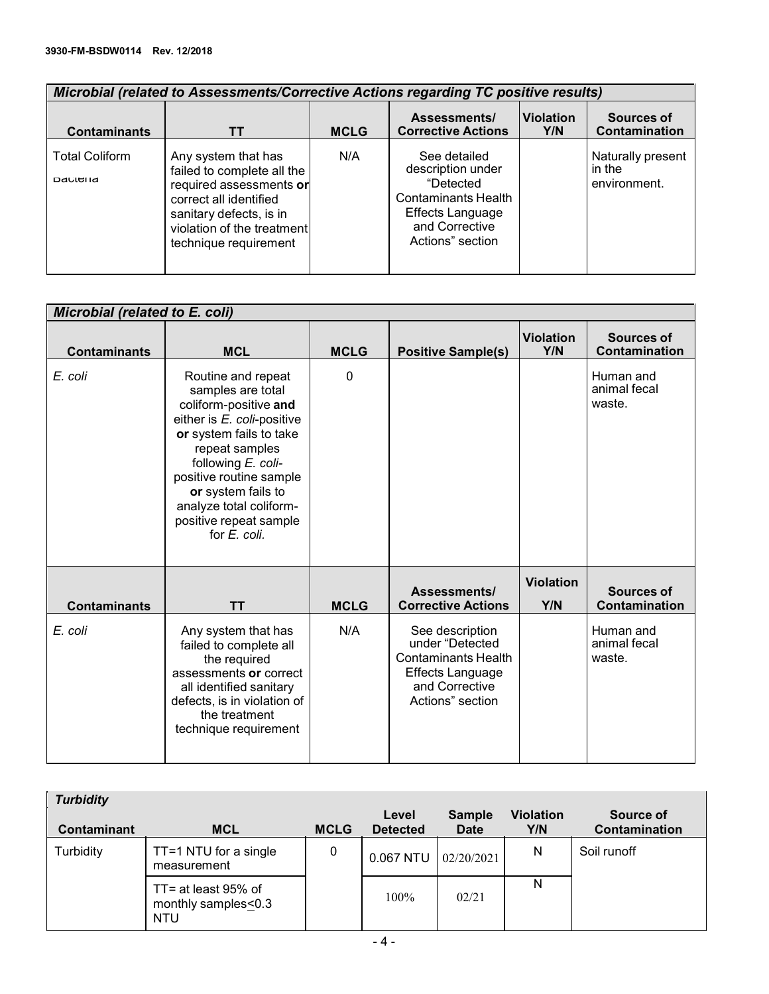| Microbial (related to Assessments/Corrective Actions regarding TC positive results) |                                                                                                                                                                                          |             |                                                                                                                                 |                         |                                             |  |  |  |
|-------------------------------------------------------------------------------------|------------------------------------------------------------------------------------------------------------------------------------------------------------------------------------------|-------------|---------------------------------------------------------------------------------------------------------------------------------|-------------------------|---------------------------------------------|--|--|--|
| <b>Contaminants</b>                                                                 | TТ                                                                                                                                                                                       | <b>MCLG</b> | Assessments/<br><b>Corrective Actions</b>                                                                                       | <b>Violation</b><br>Y/N | Sources of<br>Contamination                 |  |  |  |
| <b>Total Coliform</b><br>Dacieria                                                   | Any system that has<br>failed to complete all the<br>required assessments or<br>correct all identified<br>sanitary defects, is in<br>violation of the treatment<br>technique requirement | N/A         | See detailed<br>description under<br>"Detected<br>Contaminants Health<br>Effects Language<br>and Corrective<br>Actions" section |                         | Naturally present<br>in the<br>environment. |  |  |  |

|                     | Microbial (related to E. coli)                                                                                                                                                                                                                                                          |             |                                                                                                                                   |                         |                                     |  |  |  |  |
|---------------------|-----------------------------------------------------------------------------------------------------------------------------------------------------------------------------------------------------------------------------------------------------------------------------------------|-------------|-----------------------------------------------------------------------------------------------------------------------------------|-------------------------|-------------------------------------|--|--|--|--|
| <b>Contaminants</b> | <b>MCL</b>                                                                                                                                                                                                                                                                              | <b>MCLG</b> | <b>Positive Sample(s)</b>                                                                                                         | <b>Violation</b><br>Y/N | <b>Sources of</b><br>Contamination  |  |  |  |  |
| E. coli             | Routine and repeat<br>samples are total<br>coliform-positive and<br>either is E. coli-positive<br>or system fails to take<br>repeat samples<br>following E. coli-<br>positive routine sample<br>or system fails to<br>analyze total coliform-<br>positive repeat sample<br>for E. coli. | $\mathbf 0$ |                                                                                                                                   |                         | Human and<br>animal fecal<br>waste. |  |  |  |  |
| <b>Contaminants</b> | <b>TT</b>                                                                                                                                                                                                                                                                               | <b>MCLG</b> | Assessments/<br><b>Corrective Actions</b>                                                                                         | <b>Violation</b><br>Y/N | <b>Sources of</b><br>Contamination  |  |  |  |  |
| E. coli             | Any system that has<br>failed to complete all<br>the required<br>assessments or correct<br>all identified sanitary<br>defects, is in violation of<br>the treatment<br>technique requirement                                                                                             | N/A         | See description<br>under "Detected<br><b>Contaminants Health</b><br><b>Effects Language</b><br>and Corrective<br>Actions" section |                         | Human and<br>animal fecal<br>waste. |  |  |  |  |

| <b>Turbidity</b> |                                                          |             |                          |                              |                         |                            |
|------------------|----------------------------------------------------------|-------------|--------------------------|------------------------------|-------------------------|----------------------------|
| Contaminant      | <b>MCL</b>                                               | <b>MCLG</b> | Level<br><b>Detected</b> | <b>Sample</b><br><b>Date</b> | <b>Violation</b><br>Y/N | Source of<br>Contamination |
| Turbidity        | TT=1 NTU for a single<br>measurement                     | 0           | 0.067 NTU                | 02/20/2021                   | N                       | Soil runoff                |
|                  | TT= at least 95% of<br>monthly samples<0.3<br><b>NTU</b> |             | 100%                     | 02/21                        | N                       |                            |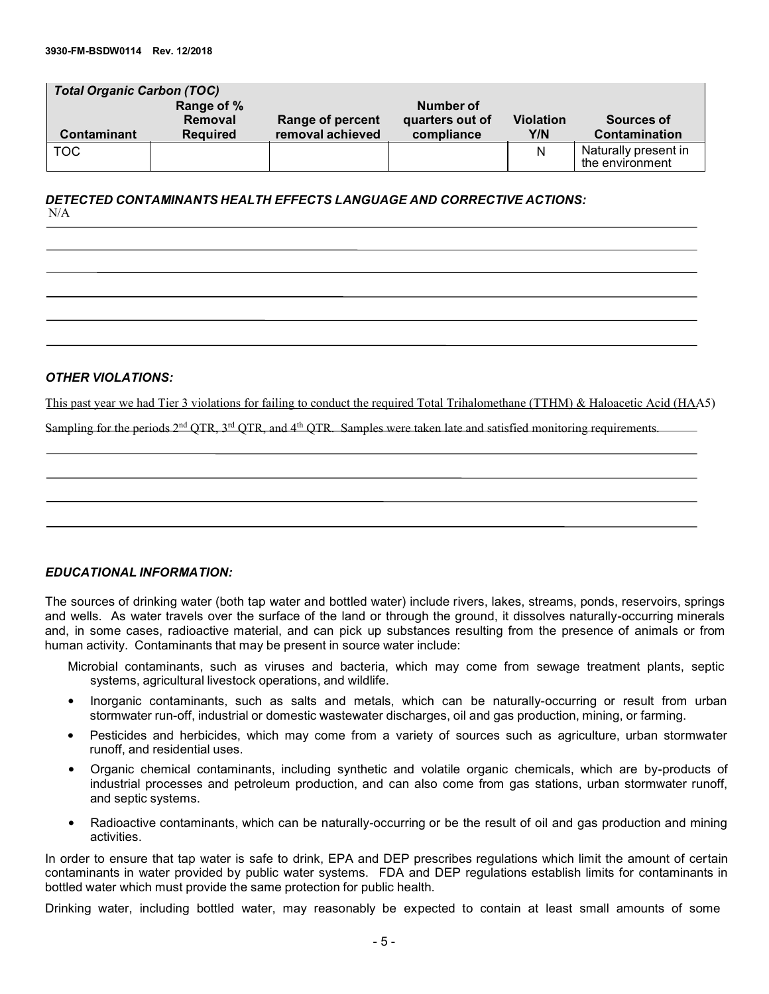| <b>Total Organic Carbon (TOC)</b> |                 |                         |                 |                  |                                         |  |  |  |  |
|-----------------------------------|-----------------|-------------------------|-----------------|------------------|-----------------------------------------|--|--|--|--|
|                                   | Range of %      |                         | Number of       |                  |                                         |  |  |  |  |
|                                   | <b>Removal</b>  | <b>Range of percent</b> | quarters out of | <b>Violation</b> | Sources of                              |  |  |  |  |
| <b>Contaminant</b>                | <b>Required</b> | removal achieved        | compliance      | Y/N              | Contamination                           |  |  |  |  |
| <b>TOC</b>                        |                 |                         |                 | N                | Naturally present in<br>the environment |  |  |  |  |

### *DETECTED CONTAMINANTS HEALTH EFFECTS LANGUAGE AND CORRECTIVE ACTIONS:* N/A

### *OTHER VIOLATIONS:*

This past year we had Tier 3 violations for failing to conduct the required Total Trihalomethane (TTHM) & Haloacetic Acid (HAA5)

Sampling for the periods  $2<sup>nd</sup> QTR$ ,  $3<sup>rd</sup> QTR$ , and  $4<sup>th</sup> QTR$ . Samples were taken late and satisfied monitoring requirements.

### *EDUCATIONAL INFORMATION:*

The sources of drinking water (both tap water and bottled water) include rivers, lakes, streams, ponds, reservoirs, springs and wells. As water travels over the surface of the land or through the ground, it dissolves naturally-occurring minerals and, in some cases, radioactive material, and can pick up substances resulting from the presence of animals or from human activity. Contaminants that may be present in source water include:

Microbial contaminants, such as viruses and bacteria, which may come from sewage treatment plants, septic systems, agricultural livestock operations, and wildlife.

- Inorganic contaminants, such as salts and metals, which can be naturally-occurring or result from urban stormwater run-off, industrial or domestic wastewater discharges, oil and gas production, mining, or farming.
- Pesticides and herbicides, which may come from a variety of sources such as agriculture, urban stormwater runoff, and residential uses.
- Organic chemical contaminants, including synthetic and volatile organic chemicals, which are by-products of industrial processes and petroleum production, and can also come from gas stations, urban stormwater runoff, and septic systems.
- Radioactive contaminants, which can be naturally-occurring or be the result of oil and gas production and mining activities.

In order to ensure that tap water is safe to drink, EPA and DEP prescribes regulations which limit the amount of certain contaminants in water provided by public water systems. FDA and DEP regulations establish limits for contaminants in bottled water which must provide the same protection for public health.

Drinking water, including bottled water, may reasonably be expected to contain at least small amounts of some